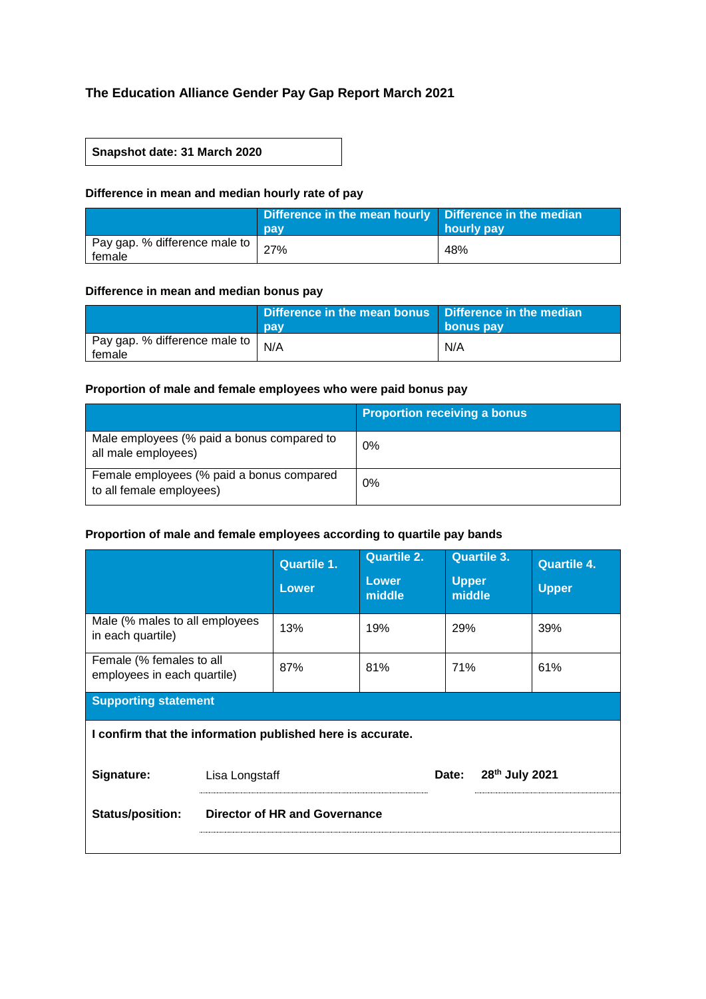# **The Education Alliance Gender Pay Gap Report March 2021**

## **Snapshot date: 31 March 2020**

## **Difference in mean and median hourly rate of pay**

|                                           | Difference in the mean hourly   Difference in the median<br>pay | hourly pay |
|-------------------------------------------|-----------------------------------------------------------------|------------|
| Pay gap. % difference male to  <br>female | 27%                                                             | 48%        |

#### **Difference in mean and median bonus pay**

|                                           | Difference in the mean bonus Difference in the median<br>pay | bonus pay |
|-------------------------------------------|--------------------------------------------------------------|-----------|
| Pay gap. % difference male to  <br>female | N/A                                                          | N/A       |

## **Proportion of male and female employees who were paid bonus pay**

|                                                                       | <b>Proportion receiving a bonus</b> |
|-----------------------------------------------------------------------|-------------------------------------|
| Male employees (% paid a bonus compared to<br>all male employees)     | 0%                                  |
| Female employees (% paid a bonus compared<br>to all female employees) | 0%                                  |

## **Proportion of male and female employees according to quartile pay bands**

|                                                            | <b>Quartile 1.</b><br><b>Lower</b>   | <b>Quartile 2.</b><br><b>Lower</b><br>middle | <b>Quartile 3.</b><br><b>Upper</b><br>middle | <b>Quartile 4.</b><br><b>Upper</b> |  |  |  |
|------------------------------------------------------------|--------------------------------------|----------------------------------------------|----------------------------------------------|------------------------------------|--|--|--|
| Male (% males to all employees<br>in each quartile)        | 13%                                  | 19%                                          | 29%                                          | 39%                                |  |  |  |
| Female (% females to all<br>employees in each quartile)    | 87%                                  | 81%                                          | 71%                                          | 61%                                |  |  |  |
| <b>Supporting statement</b>                                |                                      |                                              |                                              |                                    |  |  |  |
| I confirm that the information published here is accurate. |                                      |                                              |                                              |                                    |  |  |  |
| Signature:                                                 | Lisa Longstaff                       |                                              | 28th July 2021<br>Date:                      |                                    |  |  |  |
| <b>Status/position:</b>                                    | <b>Director of HR and Governance</b> |                                              |                                              |                                    |  |  |  |
|                                                            |                                      |                                              |                                              |                                    |  |  |  |